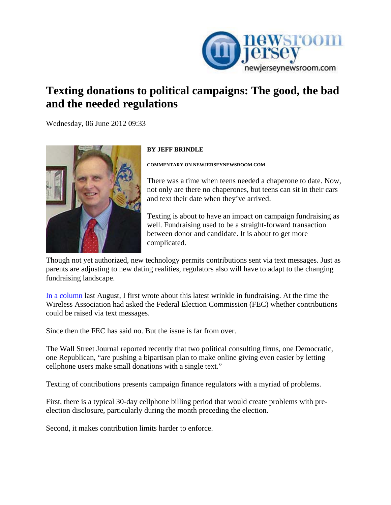

## **Texting donations to political campaigns: The good, the bad and the needed regulations**

[We](http://www.newjerseynewsroom.com/commentary/texting-donations-to-political-campaigns-the-good-the-bad-and-the-needed-regulations/print)dnesday, 06 June 2012 09:33



## **BY JEFF BRINDLE**

**COMMENTARY ON NEWJERSEYNEWSROOM.COM** 

There was a time when teens needed a chaperone to date. Now, not only are there no chaperones, but teens can sit in their cars and text their date when they've arrived.

Texting is about to have an impact on campaign fundraising as well. Fundraising used to be a straight-forward transaction between donor and candidate. It is about to get more complicated.

Though not yet authorized, new technology permits contributions sent via text messages. Just as parents are adjusting to new dating realities, regulators also will have to adapt to the changing fundraising landscape.

[In a column](http://www.newjerseynewsroom.com/commentary/texting-campaign-contributions-is-easy-fundraising-but-lacks-full-disclosure) last August, I first wrote about this latest wrinkle in fundraising. At the time the Wireless Association had asked the Federal Election Commission (FEC) whether contributions could be raised via text messages.

Since then the FEC has said no. But the issue is far from over.

The Wall Street Journal reported recently that two political consulting firms, one Democratic, one Republican, "are pushing a bipartisan plan to make online giving even easier by letting cellphone users make small donations with a single text."

Texting of contributions presents campaign finance regulators with a myriad of problems.

First, there is a typical 30-day cellphone billing period that would create problems with preelection disclosure, particularly during the month preceding the election.

Second, it makes contribution limits harder to enforce.